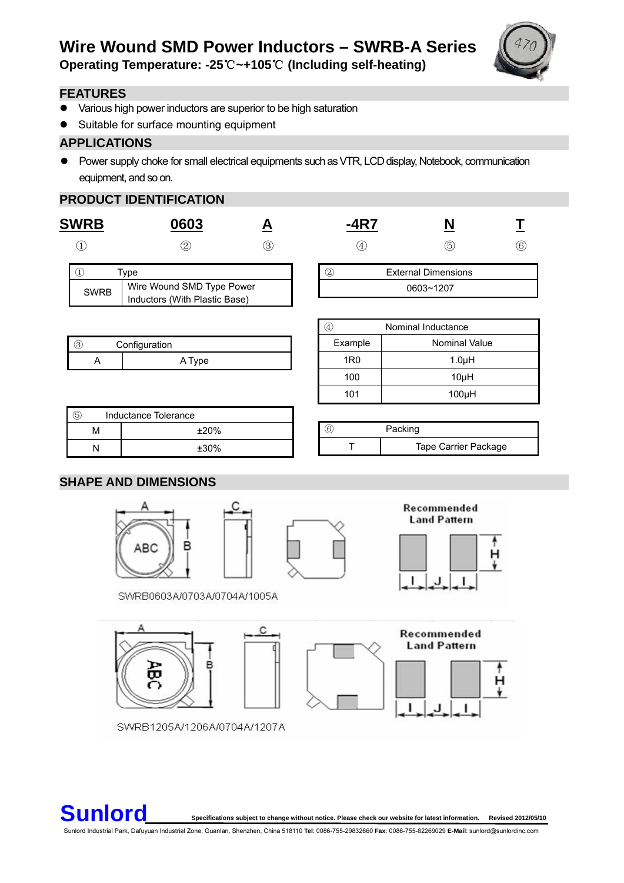

**Operating Temperature: -25**℃**~+105**℃ **(Including self-heating)** 

### **FEATURES**

- Various high power inductors are superior to be high saturation
- Suitable for surface mounting equipment

## **APPLICATIONS**

• Power supply choke for small electrical equipments such as VTR, LCD display, Notebook, communication equipment, and so on.

# **PRODUCT IDENTIFICATION**

| <b>SWRB</b>   | 0603                                                       |   | $-4R7$                                                | N                          |              |  |  |
|---------------|------------------------------------------------------------|---|-------------------------------------------------------|----------------------------|--------------|--|--|
|               | ②                                                          | ☺ | $\begin{array}{c} \textcircled{\small 4} \end{array}$ | $\circledS$                | $^\circledR$ |  |  |
| $\bigcirc$    | <b>Type</b>                                                |   | $^{\circledR}$                                        | <b>External Dimensions</b> |              |  |  |
| <b>SWRB</b>   | Wire Wound SMD Type Power<br>Inductors (With Plastic Base) |   | 0603~1207                                             |                            |              |  |  |
|               |                                                            |   | $\circled{4}$                                         | Nominal Inductance         |              |  |  |
| $\circled{3}$ | Configuration                                              |   | Example                                               | <b>Nominal Value</b>       |              |  |  |
| A             | A Type                                                     |   | 1 <sub>R0</sub>                                       | $1.0\muH$                  |              |  |  |
|               |                                                            |   | 100                                                   | $10\mu$ H                  |              |  |  |
|               |                                                            |   | 101                                                   | 100µH                      |              |  |  |
| $\circledS$   | Inductance Tolerance                                       |   |                                                       |                            |              |  |  |
| M             | ±20%                                                       |   | $\circledcirc$                                        | Packing                    |              |  |  |
| N             | $±30\%$                                                    |   | Т                                                     | Tape Carrier Package       |              |  |  |

### **SHAPE AND DIMENSIONS**

옮



Recommended **Land Pattern** 



н  $\ddot{\phantom{1}}$ 

Recommended **Land Pattern** ı J

SWRB1205A/1206A/0704A/1207A



**Sunlore Sunlor** Specifications subject to change without notice. Please check our website for latest information. Revised 2012/05/10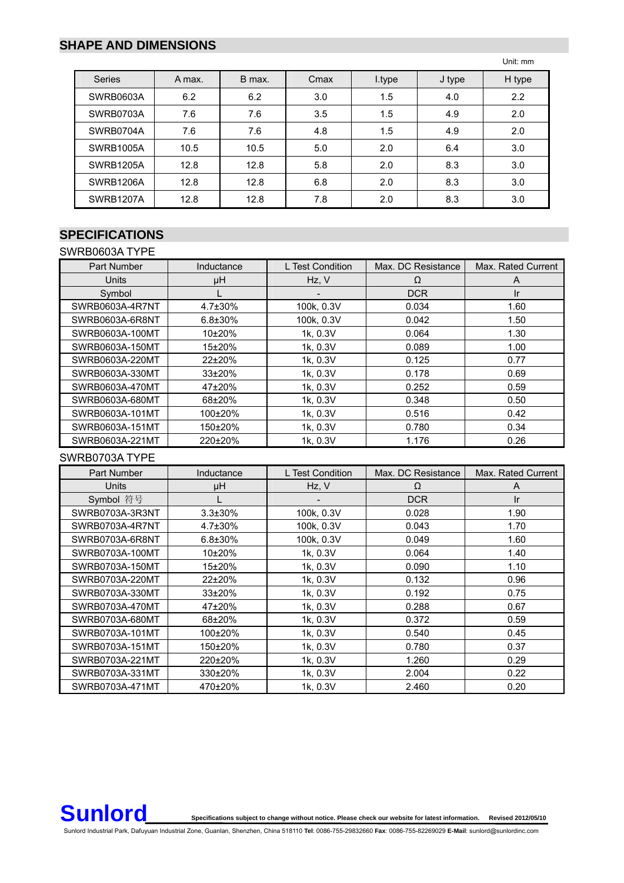### **SHAPE AND DIMENSIONS**

Unit: mm

| <b>Series</b>    | A max. | B max. | Cmax | I.type | J type | H type |
|------------------|--------|--------|------|--------|--------|--------|
| <b>SWRB0603A</b> | 6.2    | 6.2    | 3.0  | 1.5    | 4.0    | 2.2    |
| SWRB0703A        | 7.6    | 7.6    | 3.5  | 1.5    | 4.9    | 2.0    |
| SWRB0704A        | 7.6    | 7.6    | 4.8  | 1.5    | 4.9    | 2.0    |
| <b>SWRB1005A</b> | 10.5   | 10.5   | 5.0  | 2.0    | 6.4    | 3.0    |
| SWRB1205A        | 12.8   | 12.8   | 5.8  | 2.0    | 8.3    | 3.0    |
| SWRB1206A        | 12.8   | 12.8   | 6.8  | 2.0    | 8.3    | 3.0    |
| <b>SWRB1207A</b> | 12.8   | 12.8   | 7.8  | 2.0    | 8.3    | 3.0    |

## **SPECIFICATIONS**

SWRB0603A TYPE Part Number Inductance L Test Condition Max. DC Resistance Max. Rated Current Units | μH | Hz, V | Ω | A Symbol | L | - | DCR | Ir SWRB0603A-4R7NT | 4.7±30% | 100k, 0.3V | 0.034 | 1.60 SWRB0603A-6R8NT | 6.8±30% | 100k, 0.3V | 0.042 | 1.50

#### SWRB0603A-100MT 10±20% 1k, 0.3V 0.064 1.30 SWRB0603A-150MT 15±20% 1.00 1.00 1.00 1.00 SWRB0603A-220MT 22±20% 1k, 0.3V 0.125 0.77 SWRB0603A-330MT 33±20% 1 1k, 0.3V 0.178 0.69 SWRB0603A-470MT 47±20% | 1k, 0.3V | 0.252 | 0.59 SWRB0603A-680MT 68±20% 1k, 0.3V 0.348 0.50 SWRB0603A-101MT | 100±20% | 1k, 0.3V | 0.516 | 0.42 SWRB0603A-151MT | 150±20% | 1k, 0.3V | 0.780 | 0.34 SWRB0603A-221MT | 220±20% | 1k, 0.3V | 1.176 | 0.26

SWRB0703A TYPE

| Part Number     | Inductance     | L Test Condition | Max. DC Resistance | Max. Rated Current |
|-----------------|----------------|------------------|--------------------|--------------------|
| <b>Units</b>    | μH             | Hz, V            | Ω                  | A                  |
| Symbol 符号       |                |                  | <b>DCR</b>         | Ir                 |
| SWRB0703A-3R3NT | $3.3 \pm 30\%$ | 100k, 0.3V       | 0.028              | 1.90               |
| SWRB0703A-4R7NT | $4.7\pm30\%$   | 100k, 0.3V       | 0.043              | 1.70               |
| SWRB0703A-6R8NT | $6.8 \pm 30\%$ | 100k, 0.3V       | 0.049              | 1.60               |
| SWRB0703A-100MT | $10+20%$       | 1k, 0.3V         | 0.064              | 1.40               |
| SWRB0703A-150MT | 15±20%         | 1k, 0.3V         | 0.090              | 1.10               |
| SWRB0703A-220MT | 22±20%         | 1k, 0.3V         | 0.132              | 0.96               |
| SWRB0703A-330MT | 33±20%         | 1k, 0.3V         | 0.192              | 0.75               |
| SWRB0703A-470MT | 47±20%         | 1k, 0.3V         | 0.288              | 0.67               |
| SWRB0703A-680MT | 68±20%         | 1k, 0.3V         | 0.372              | 0.59               |
| SWRB0703A-101MT | 100±20%        | 1k, 0.3V         | 0.540              | 0.45               |
| SWRB0703A-151MT | 150±20%        | 1k, 0.3V         | 0.780              | 0.37               |
| SWRB0703A-221MT | 220±20%        | 1k, 0.3V         | 1.260              | 0.29               |
| SWRB0703A-331MT | 330±20%        | 1k, 0.3V         | 2.004              | 0.22               |
| SWRB0703A-471MT | 470±20%        | 1k, 0.3V         | 2.460              | 0.20               |

**Sunlore Sunlor** Specifications subject to change without notice. Please check our website for latest information. Revised 2012/05/10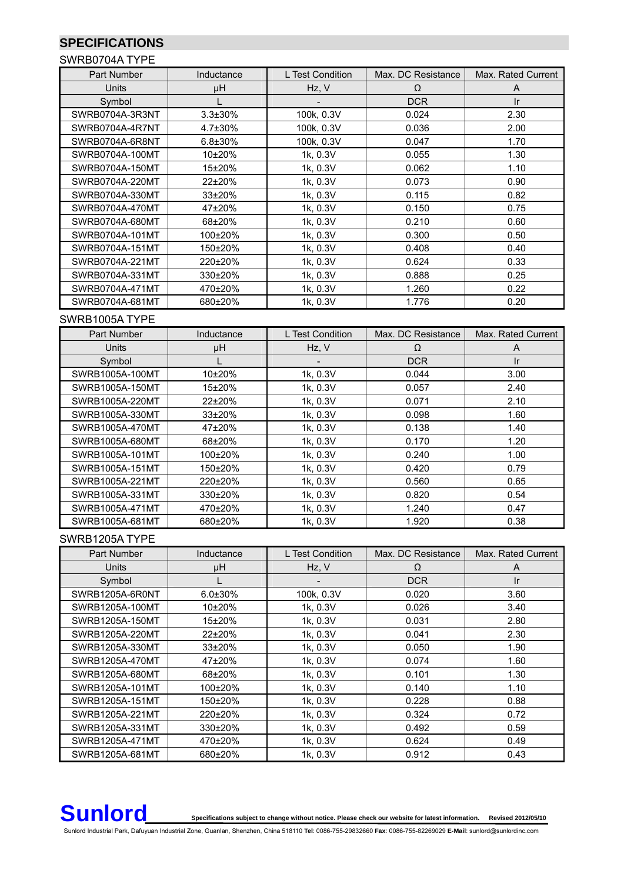# **SPECIFICATIONS**

#### SWRB0704A TYPE

| Part Number     | Inductance     | L Test Condition | Max. DC Resistance | Max. Rated Current |  |  |
|-----------------|----------------|------------------|--------------------|--------------------|--|--|
| <b>Units</b>    | μH             | Hz, V            | Ω                  | A                  |  |  |
| Symbol          |                |                  | <b>DCR</b>         | Ir                 |  |  |
| SWRB0704A-3R3NT | $3.3 \pm 30\%$ | 100k, 0.3V       | 0.024              | 2.30               |  |  |
| SWRB0704A-4R7NT | $4.7\pm30\%$   | 100k, 0.3V       | 0.036              | 2.00               |  |  |
| SWRB0704A-6R8NT | $6.8 \pm 30\%$ | 100k, 0.3V       | 0.047              | 1.70               |  |  |
| SWRB0704A-100MT | 10±20%         | 1k, 0.3V         | 0.055              | 1.30               |  |  |
| SWRB0704A-150MT | 15±20%         | 1k, 0.3V         | 0.062              | 1.10               |  |  |
| SWRB0704A-220MT | 22±20%         | 1k, 0.3V         | 0.073              | 0.90               |  |  |
| SWRB0704A-330MT | 33±20%         | 1k, 0.3V         | 0.115              | 0.82               |  |  |
| SWRB0704A-470MT | 47±20%         | 1k, 0.3V         | 0.150              | 0.75               |  |  |
| SWRB0704A-680MT | 68±20%         | 1k, 0.3V         | 0.210              | 0.60               |  |  |
| SWRB0704A-101MT | 100±20%        | 1k, 0.3V         | 0.300              | 0.50               |  |  |
| SWRB0704A-151MT | 150±20%        | 1k, 0.3V         | 0.408              | 0.40               |  |  |
| SWRB0704A-221MT | 220±20%        | 1k, 0.3V         | 0.624              | 0.33               |  |  |
| SWRB0704A-331MT | 330±20%        | 1k, 0.3V         | 0.888              | 0.25               |  |  |
| SWRB0704A-471MT | 470±20%        | 1k, 0.3V         | 1.260              | 0.22               |  |  |
| SWRB0704A-681MT | 680±20%        | 1k, 0.3V         | 1.776              | 0.20               |  |  |
| SWRB1005A TYPE  |                |                  |                    |                    |  |  |

| Part Number     | Inductance   | L Test Condition | Max. DC Resistance | Max. Rated Current |
|-----------------|--------------|------------------|--------------------|--------------------|
| <b>Units</b>    | μH           | Hz, V            | Ω                  | A                  |
| Symbol          |              | -                | <b>DCR</b>         | <b>Ir</b>          |
| SWRB1005A-100MT | 10±20%       | 1k, 0.3V         | 0.044              | 3.00               |
| SWRB1005A-150MT | 15±20%       | 1k, 0.3V         | 0.057              | 2.40               |
| SWRB1005A-220MT | $22\pm 20\%$ | 1k, 0.3V         | 0.071              | 2.10               |
| SWRB1005A-330MT | $33+20%$     | 1k, 0.3V         | 0.098              | 1.60               |
| SWRB1005A-470MT | 47±20%       | 1k, 0.3V         | 0.138              | 1.40               |
| SWRB1005A-680MT | 68±20%       | 1k, 0.3V         | 0.170              | 1.20               |
| SWRB1005A-101MT | 100±20%      | 1k, 0.3V         | 0.240              | 1.00               |
| SWRB1005A-151MT | 150±20%      | 1k, 0.3V         | 0.420              | 0.79               |
| SWRB1005A-221MT | 220±20%      | 1k, 0.3V         | 0.560              | 0.65               |
| SWRB1005A-331MT | 330±20%      | 1k, 0.3V         | 0.820              | 0.54               |
| SWRB1005A-471MT | 470±20%      | 1k, 0.3V         | 1.240              | 0.47               |
| SWRB1005A-681MT | 680±20%      | 1k, 0.3V         | 1.920              | 0.38               |

#### SWRB1205A TYPE

| Part Number     | Inductance     | L Test Condition | Max. DC Resistance | Max. Rated Current |
|-----------------|----------------|------------------|--------------------|--------------------|
| <b>Units</b>    | μH             | Hz, V            | Ω                  | A                  |
| Symbol          |                |                  | <b>DCR</b>         | Ir.                |
| SWRB1205A-6R0NT | $6.0 \pm 30\%$ | 100k, 0.3V       | 0.020              | 3.60               |
| SWRB1205A-100MT | $10\pm 20\%$   | 1k, 0.3V         | 0.026              | 3.40               |
| SWRB1205A-150MT | 15±20%         | 1k, 0.3V         | 0.031              | 2.80               |
| SWRB1205A-220MT | $22\pm 20\%$   | 1k, 0.3V         | 0.041              | 2.30               |
| SWRB1205A-330MT | $33\pm20\%$    | 1k, 0.3V         | 0.050              | 1.90               |
| SWRB1205A-470MT | 47±20%         | 1k, 0.3V         | 0.074              | 1.60               |
| SWRB1205A-680MT | 68±20%         | 1k, 0.3V         | 0.101              | 1.30               |
| SWRB1205A-101MT | 100±20%        | 1k, 0.3V         | 0.140              | 1.10               |
| SWRB1205A-151MT | 150±20%        | 1k, 0.3V         | 0.228              | 0.88               |
| SWRB1205A-221MT | 220±20%        | 1k, 0.3V         | 0.324              | 0.72               |
| SWRB1205A-331MT | 330±20%        | 1k, 0.3V         | 0.492              | 0.59               |
| SWRB1205A-471MT | 470±20%        | 1k, 0.3V         | 0.624              | 0.49               |
| SWRB1205A-681MT | 680±20%        | 1k, 0.3V         | 0.912              | 0.43               |



**Sunlor** Specifications subject to change without notice. Please check our website for latest information. Revised 2012/05/10